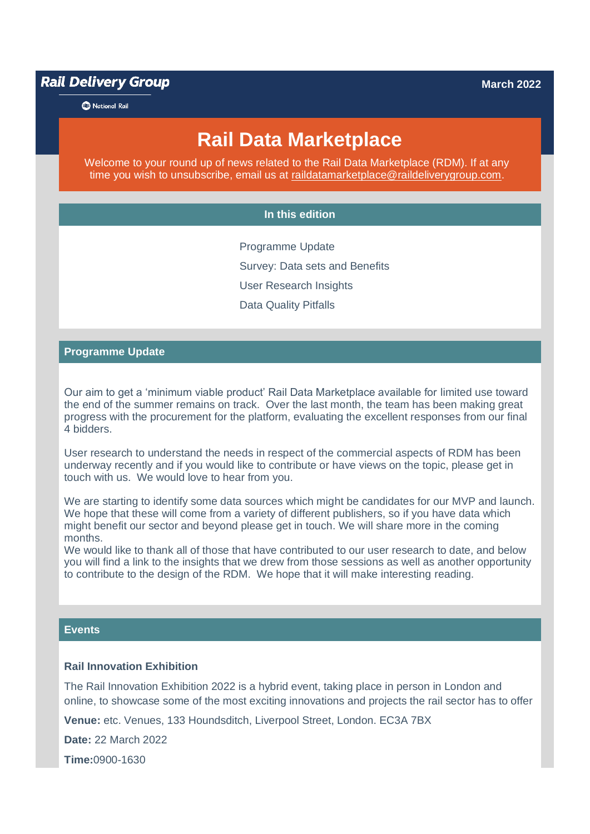**Rail Delivery Group** 

**B** National Rail

# **Rail Data Marketplace**

Welcome to your round up of news related to the Rail Data Marketplace (RDM). If at any time you wish to unsubscribe, email us at [raildatamarketplace@raildeliverygroup.com.](mailto:raildatamarketplace@raildeliverygroup.com)

### **In this edition**

Programme Update Survey: Data sets and Benefits User Research Insights Data Quality Pitfalls

### **Programme Update**

Our aim to get a 'minimum viable product' Rail Data Marketplace available for limited use toward the end of the summer remains on track. Over the last month, the team has been making great progress with the procurement for the platform, evaluating the excellent responses from our final 4 bidders.

User research to understand the needs in respect of the commercial aspects of RDM has been underway recently and if you would like to contribute or have views on the topic, please get in touch with us. We would love to hear from you.

We are starting to identify some data sources which might be candidates for our MVP and launch. We hope that these will come from a variety of different publishers, so if you have data which might benefit our sector and beyond please get in touch. We will share more in the coming months.

We would like to thank all of those that have contributed to our user research to date, and below you will find a link to the insights that we drew from those sessions as well as another opportunity to contribute to the design of the RDM. We hope that it will make interesting reading.

### **Events**

### **Rail Innovation Exhibition**

The Rail Innovation Exhibition 2022 is a hybrid event, taking place in person in London and online, to showcase some of the most exciting innovations and projects the rail sector has to offer

**Venue:** etc. Venues, 133 Houndsditch, Liverpool Street, London. EC3A 7BX

**Date:** 22 March 2022

**Time:**0900-1630

#### **March 2022**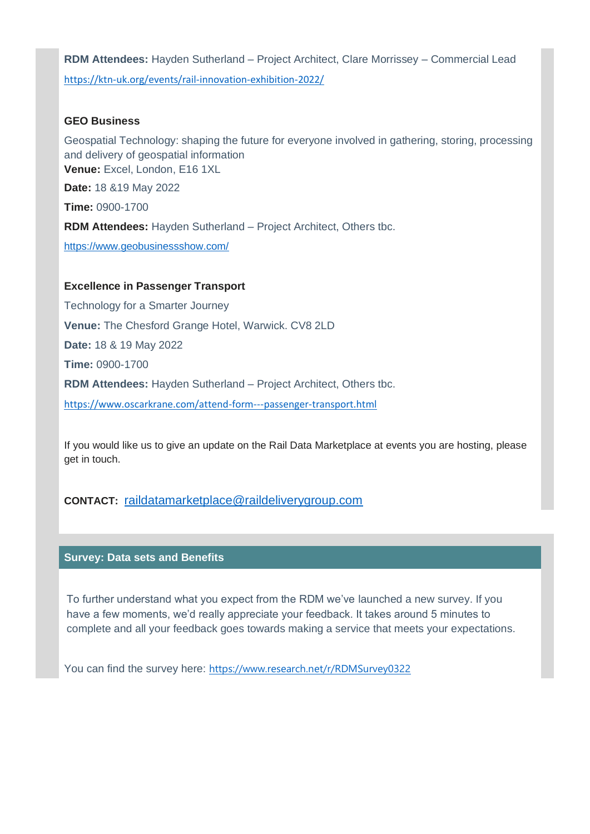**RDM Attendees:** Hayden Sutherland – Project Architect, Clare Morrissey – Commercial Lead <https://ktn-uk.org/events/rail-innovation-exhibition-2022/>

### **GEO Business**

Geospatial Technology: shaping the future for everyone involved in gathering, storing, processing and delivery of geospatial information **Venue:** Excel, London, E16 1XL **Date:** 18 &19 May 2022 **Time:** 0900-1700 **RDM Attendees:** Hayden Sutherland – Project Architect, Others tbc. <https://www.geobusinessshow.com/>

### **Excellence in Passenger Transport**

Technology for a Smarter Journey **Venue:** The Chesford Grange Hotel, Warwick. CV8 2LD **Date:** 18 & 19 May 2022 **Time:** 0900-1700 **RDM Attendees:** Hayden Sutherland – Project Architect, Others tbc. <https://www.oscarkrane.com/attend-form---passenger-transport.html>

If you would like us to give an update on the Rail Data Marketplace at events you are hosting, please get in touch.

### **CONTACT:** [raildatamarketplace@raildeliverygroup.com](mailto:raildatamarketplace@raildeliverygroup.com)

### **Survey: Data sets and Benefits**

To further understand what you expect from the RDM we've launched a new survey. If you have a few moments, we'd really appreciate your feedback. It takes around 5 minutes to complete and all your feedback goes towards making a service that meets your expectations.

You can find the survey here: <https://www.research.net/r/RDMSurvey0322>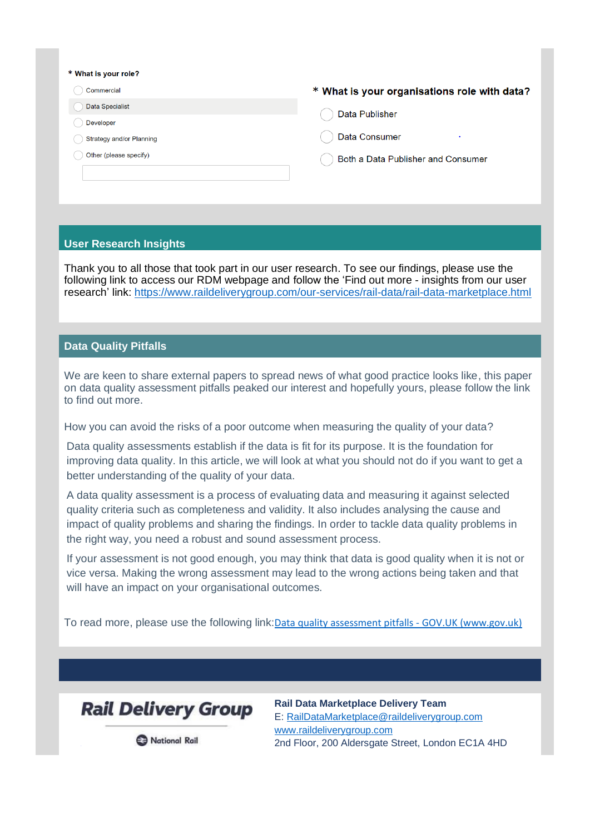#### \* What is your role?

- Commercial
- Data Specialist
- Developer
- Strategy and/or Planning
- Other (please specify)

#### \* What is your organisations role with data?

- **Data Publisher**
- Data Consumer
- Both a Data Publisher and Consumer

#### **User Research Insights**

Thank you to all those that took part in our user research. To see our findings, please use the following link to access our RDM webpage and follow the 'Find out more - insights from our user research' link:<https://www.raildeliverygroup.com/our-services/rail-data/rail-data-marketplace.html>

### **Data Quality Pitfalls**

We are keen to share external papers to spread news of what good practice looks like, this paper on data quality assessment pitfalls peaked our interest and hopefully yours, please follow the link to find out more.

How you can avoid the risks of a poor outcome when measuring the quality of your data?

Data quality assessments establish if the data is fit for its purpose. It is the foundation for improving data quality. In this article, we will look at what you should not do if you want to get a better understanding of the quality of your data.

A data quality assessment is a process of evaluating data and measuring it against selected quality criteria such as completeness and validity. It also includes analysing the cause and impact of quality problems and sharing the findings. In order to tackle data quality problems in the right way, you need a robust and sound assessment process.

If your assessment is not good enough, you may think that data is good quality when it is not or vice versa. Making the wrong assessment may lead to the wrong actions being taken and that will have an impact on your organisational outcomes.

To read more, please use the following link:[Data quality assessment pitfalls -](https://www.gov.uk/government/news/data-quality-assessment-pitfalls?utm_medium=email&utm_campaign=govuk-notifications-topic&utm_source=00f3d350-605b-4d5e-8693-bdfbb937624b&utm_content=immediately) GOV.UK (www.gov.uk)



**Rail Data Marketplace Delivery Team** E: [RailDataMarketplace@raildeliverygroup.com](mailto:RailDataMarketplace@raildeliverygroup.com) [www.raildeliverygroup.com](http://www.raildeliverygroup.com/) 2nd Floor, 200 Aldersgate Street, London EC1A 4HD